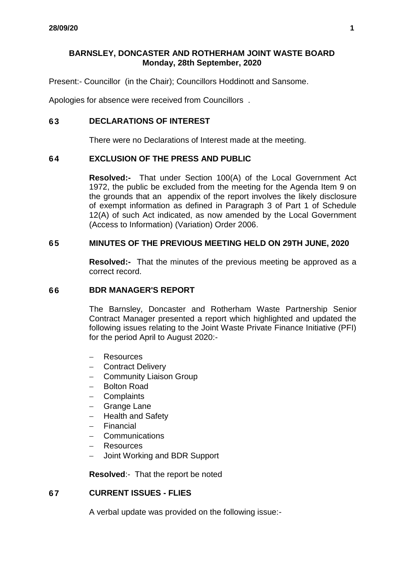# **BARNSLEY, DONCASTER AND ROTHERHAM JOINT WASTE BOARD Monday, 28th September, 2020**

Present:- Councillor (in the Chair); Councillors Hoddinott and Sansome.

Apologies for absence were received from Councillors .

# **63 DECLARATIONS OF INTEREST**

There were no Declarations of Interest made at the meeting.

### **64 EXCLUSION OF THE PRESS AND PUBLIC**

**Resolved:-** That under Section 100(A) of the Local Government Act 1972, the public be excluded from the meeting for the Agenda Item 9 on the grounds that an appendix of the report involves the likely disclosure of exempt information as defined in Paragraph 3 of Part 1 of Schedule 12(A) of such Act indicated, as now amended by the Local Government (Access to Information) (Variation) Order 2006.

#### **65 MINUTES OF THE PREVIOUS MEETING HELD ON 29TH JUNE, 2020**

**Resolved:-** That the minutes of the previous meeting be approved as a correct record.

#### **66 BDR MANAGER'S REPORT**

The Barnsley, Doncaster and Rotherham Waste Partnership Senior Contract Manager presented a report which highlighted and updated the following issues relating to the Joint Waste Private Finance Initiative (PFI) for the period April to August 2020:-

- **Resources**
- Contract Delivery
- Community Liaison Group
- Bolton Road
- **Complaints**
- Grange Lane
- Health and Safety
- Financial
- Communications
- Resources
- Joint Working and BDR Support

**Resolved**:- That the report be noted

# **67 CURRENT ISSUES - FLIES**

A verbal update was provided on the following issue:-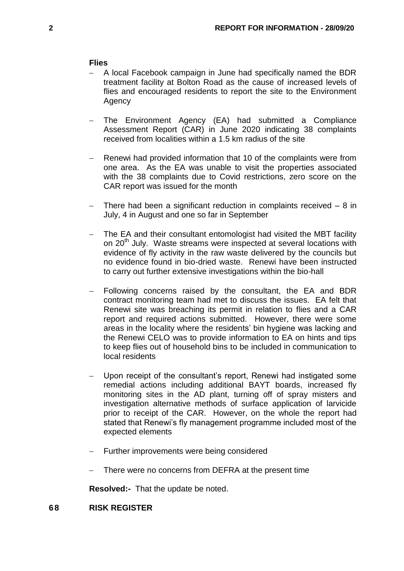#### **Flies**

- A local Facebook campaign in June had specifically named the BDR treatment facility at Bolton Road as the cause of increased levels of flies and encouraged residents to report the site to the Environment Agency
- The Environment Agency (EA) had submitted a Compliance Assessment Report (CAR) in June 2020 indicating 38 complaints received from localities within a 1.5 km radius of the site
- Renewi had provided information that 10 of the complaints were from one area. As the EA was unable to visit the properties associated with the 38 complaints due to Covid restrictions, zero score on the CAR report was issued for the month
- There had been a significant reduction in complaints received 8 in July, 4 in August and one so far in September
- The EA and their consultant entomologist had visited the MBT facility on 20<sup>th</sup> July. Waste streams were inspected at several locations with evidence of fly activity in the raw waste delivered by the councils but no evidence found in bio-dried waste. Renewi have been instructed to carry out further extensive investigations within the bio-hall
- Following concerns raised by the consultant, the EA and BDR contract monitoring team had met to discuss the issues. EA felt that Renewi site was breaching its permit in relation to flies and a CAR report and required actions submitted. However, there were some areas in the locality where the residents' bin hygiene was lacking and the Renewi CELO was to provide information to EA on hints and tips to keep flies out of household bins to be included in communication to local residents
- Upon receipt of the consultant's report, Renewi had instigated some remedial actions including additional BAYT boards, increased fly monitoring sites in the AD plant, turning off of spray misters and investigation alternative methods of surface application of larvicide prior to receipt of the CAR. However, on the whole the report had stated that Renewi's fly management programme included most of the expected elements
- Further improvements were being considered
- There were no concerns from DEFRA at the present time

**Resolved:-** That the update be noted.

#### **68 RISK REGISTER**